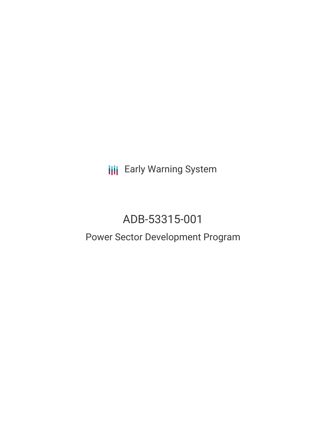**III** Early Warning System

# ADB-53315-001

# Power Sector Development Program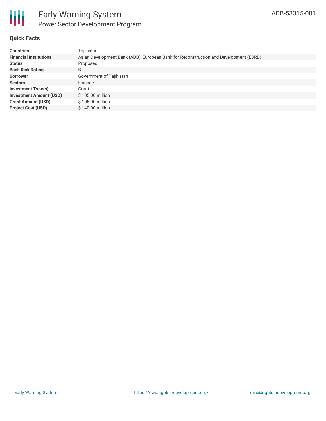

# **Quick Facts**

| <b>Countries</b>               | Tajikistan                                                                            |  |  |  |  |
|--------------------------------|---------------------------------------------------------------------------------------|--|--|--|--|
| <b>Financial Institutions</b>  | Asian Development Bank (ADB), European Bank for Reconstruction and Development (EBRD) |  |  |  |  |
| <b>Status</b>                  | Proposed                                                                              |  |  |  |  |
| <b>Bank Risk Rating</b>        | B                                                                                     |  |  |  |  |
| <b>Borrower</b>                | Government of Tajikistan                                                              |  |  |  |  |
| <b>Sectors</b>                 | Finance                                                                               |  |  |  |  |
| <b>Investment Type(s)</b>      | Grant                                                                                 |  |  |  |  |
| <b>Investment Amount (USD)</b> | $$105.00$ million                                                                     |  |  |  |  |
| <b>Grant Amount (USD)</b>      | \$105.00 million                                                                      |  |  |  |  |
| <b>Project Cost (USD)</b>      | $$140.00$ million                                                                     |  |  |  |  |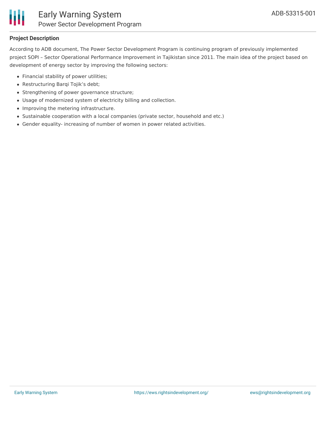

## **Project Description**

According to ADB document, The Power Sector Development Program is continuing program of previously implemented project SOPI – Sector Operational Performance Improvement in Tajikistan since 2011. The main idea of the project based on development of energy sector by improving the following sectors:

- Financial stability of power utilities;
- Restructuring Barqi Tojik's debt;
- Strengthening of power governance structure;
- Usage of modernized system of electricity billing and collection.
- Improving the metering infrastructure.
- Sustainable cooperation with a local companies (private sector, household and etc.)
- Gender equality- increasing of number of women in power related activities.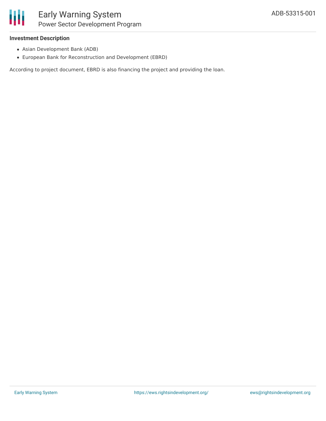# **Investment Description**

- Asian Development Bank (ADB)
- European Bank for Reconstruction and Development (EBRD)

According to project document, EBRD is also financing the project and providing the loan.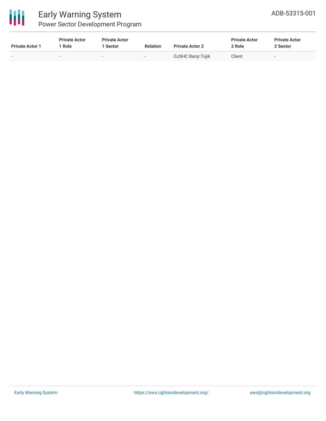

| <b>Private Actor 1</b> | <b>Private Actor</b><br>  Role | <b>Private Actor</b><br>  Sector | <b>Relation</b>          | <b>Private Actor 2</b> | <b>Private Actor</b><br>2 Role | <b>Private Actor</b><br>2 Sector |
|------------------------|--------------------------------|----------------------------------|--------------------------|------------------------|--------------------------------|----------------------------------|
| . .                    | $\overline{\phantom{a}}$       | $\overline{\phantom{a}}$         | $\overline{\phantom{0}}$ | OJSHC Bargi Tojik      | Client                         | $\overline{\phantom{0}}$         |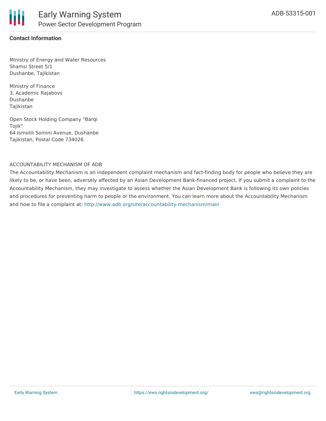

### **Contact Information**

Ministry of Energy and Water Resources Shamsi Street 5/1 Dushanbe, Tajikistan

Ministry of Finance 3, Academic Rajabovs Dushanbe Tajikistan

Open Stock Holding Company "Barqi Tojik" 64 Ismolili Somini Avenue, Dushanbe Tajikistan, Postal Code 734026

#### ACCOUNTABILITY MECHANISM OF ADB

The Accountability Mechanism is an independent complaint mechanism and fact-finding body for people who believe they are likely to be, or have been, adversely affected by an Asian Development Bank-financed project. If you submit a complaint to the Accountability Mechanism, they may investigate to assess whether the Asian Development Bank is following its own policies and procedures for preventing harm to people or the environment. You can learn more about the Accountability Mechanism and how to file a complaint at: <http://www.adb.org/site/accountability-mechanism/main>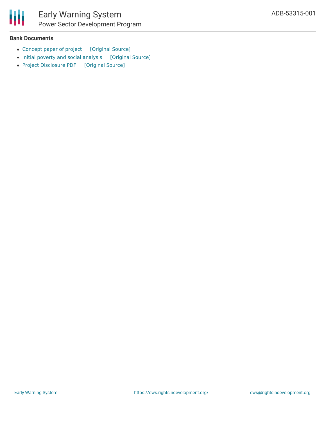

# Early Warning System Power Sector Development Program

### **Bank Documents**

- [Concept](https://ewsdata.rightsindevelopment.org/files/documents/01/ADB-53315-001_K4fSfxF.pdf) paper of project [\[Original](https://www.adb.org/projects/documents/taj-53315-001-cp) Source]
- Initial poverty and social [analysis](https://ewsdata.rightsindevelopment.org/files/documents/01/ADB-53315-001_wVec99n.pdf) [\[Original](https://www.adb.org/sites/default/files/project-documents/53315/53315-001-ipsa-en.pdf) Source]
- Project [Disclosure](https://ewsdata.rightsindevelopment.org/files/documents/01/ADB-53315-001.pdf) PDF [\[Original](https://www.adb.org/printpdf/projects/53315-001/main) Source]